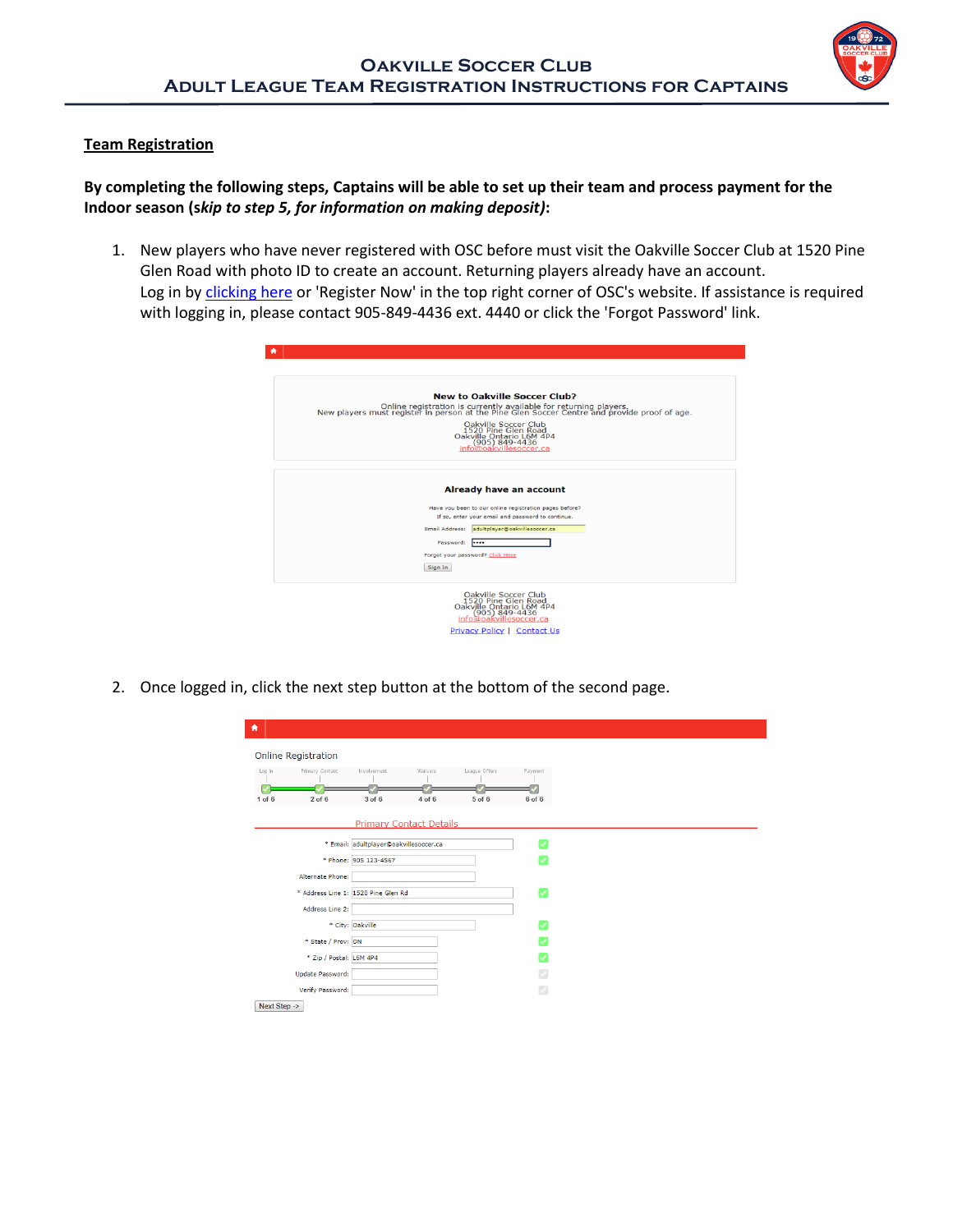

## **Team Registration**

## **By completing the following steps, Captains will be able to set up their team and process payment for the Indoor season (s***kip to step 5, for information on making deposit)***:**

1. New players who have never registered with OSC before must visit the Oakville Soccer Club at 1520 Pine Glen Road with photo ID to create an account. Returning players already have an account. Log in by [clicking here](https://registration.sportsavvy.com/OVL/index.php?option=com_sportsavvy&controller=registration) or 'Register Now' in the top right corner of OSC's website. If assistance is required with logging in, please contact 905-849-4436 ext. 4440 or click the 'Forgot Password' link.

|           | <b>New to Oakville Soccer Club?</b><br>Online registration is currently available for returning players.<br>New players must register in person at the Pine Glen Soccer Centre and provide proof of age. |
|-----------|----------------------------------------------------------------------------------------------------------------------------------------------------------------------------------------------------------|
|           | Oakville Soccer Club<br>1520 Pine Glen Road<br>Oakville Ontario L6M 4P4<br>$(905) 849 - 4436$<br>info@oakvillesoccer.ca                                                                                  |
|           | Already have an account                                                                                                                                                                                  |
|           | Have you been to our online registration pages before?<br>If so, enter your email and password to continue.                                                                                              |
|           | Email Address: adultplayer@oakvillesoccer.ca                                                                                                                                                             |
| Password: |                                                                                                                                                                                                          |
|           | Forgot your password? Click Here                                                                                                                                                                         |
| Sign In   |                                                                                                                                                                                                          |

2. Once logged in, click the next step button at the bottom of the second page.

| 介            |                                     |                                        |                                |               |              |
|--------------|-------------------------------------|----------------------------------------|--------------------------------|---------------|--------------|
|              | <b>Online Registration</b>          |                                        |                                |               |              |
| Log In       | Primary Contact                     | Involvement                            | Waivers                        | League Offers | Payment      |
| $1$ of $6$   | $2$ of $6$                          | 3 of 6                                 | $4$ of $6$                     | 5 of 6        | 6 of 6       |
|              |                                     |                                        | <b>Primary Contact Details</b> |               |              |
|              |                                     | * Email: adultplayer@oakvillesoccer.ca |                                |               | U            |
|              |                                     | * Phone: 905 123-4567                  |                                |               |              |
|              | Alternate Phone:                    |                                        |                                |               |              |
|              | * Address Line 1: 1520 Pine Glen Rd |                                        |                                |               | $\checkmark$ |
|              | Address Line 2:                     |                                        |                                |               |              |
|              |                                     | * City: Oakville                       |                                |               |              |
|              | * State / Prov: ON                  |                                        |                                |               |              |
|              | * Zip / Postal: L6M 4P4             |                                        |                                |               |              |
|              | <b>Update Password:</b>             |                                        |                                |               |              |
|              | Verify Password:                    |                                        |                                |               |              |
| Next Step -> |                                     |                                        |                                |               |              |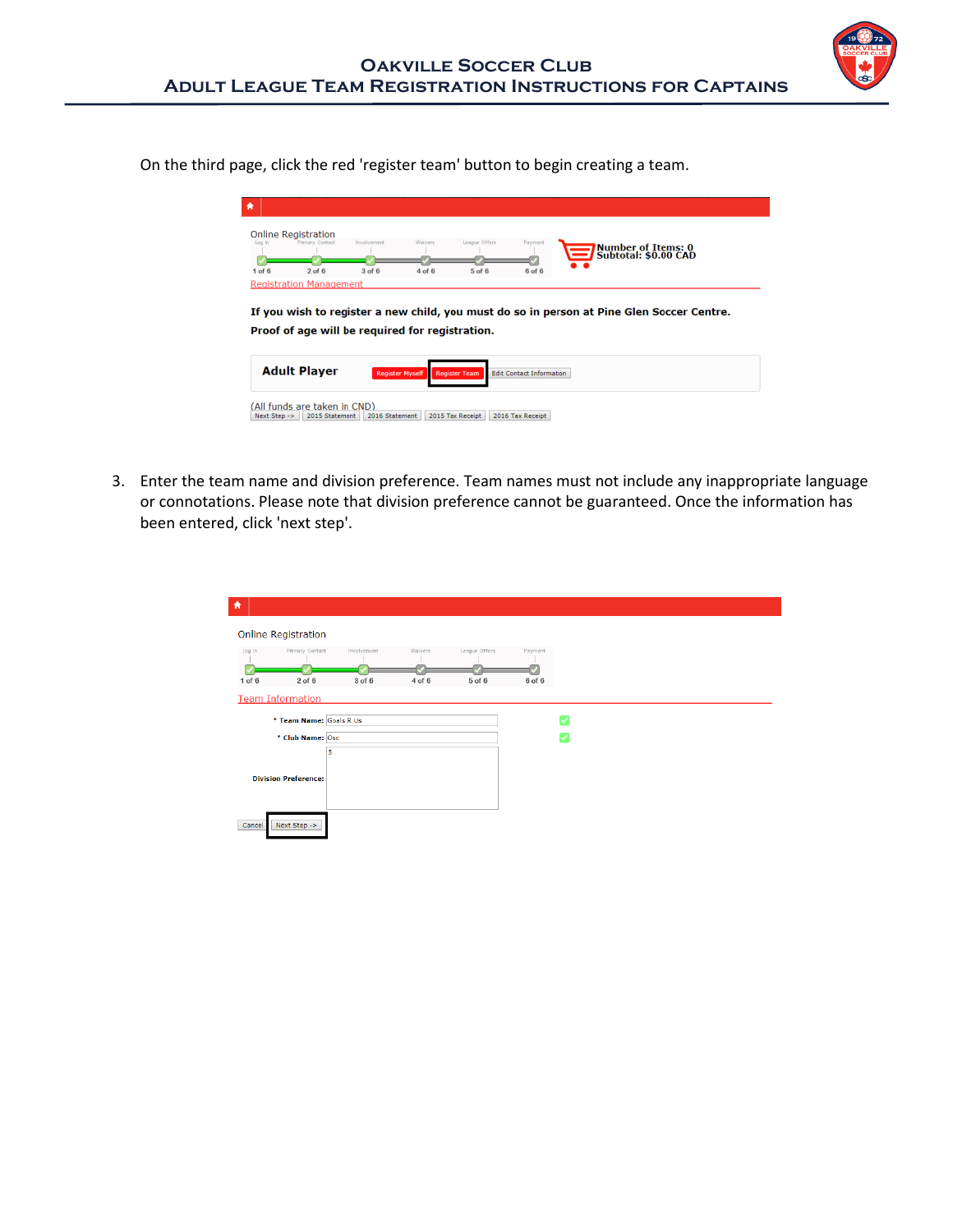

On the third page, click the red 'register team' button to begin creating a team.

| Log In     | <b>Online Registration</b><br><b>Primary Contact</b> | Involvement | Waivers    | League Offers | Payment    |                                                                                           |
|------------|------------------------------------------------------|-------------|------------|---------------|------------|-------------------------------------------------------------------------------------------|
|            |                                                      |             |            |               |            | <b>Number of Items: 0<br/>Subtotal: \$0.00 CAD</b>                                        |
| $1$ of $6$ | $2$ of $6$                                           | $3$ of $6$  | $4$ of $6$ | $5$ of $6$    | $6$ of $6$ |                                                                                           |
|            | <b>Registration Management</b>                       |             |            |               |            |                                                                                           |
|            |                                                      |             |            |               |            | If you wish to register a new child, you must do so in person at Pine Glen Soccer Centre. |
|            | Proof of age will be required for registration.      |             |            |               |            |                                                                                           |

3. Enter the team name and division preference. Team names must not include any inappropriate language or connotations. Please note that division preference cannot be guaranteed. Once the information has been entered, click 'next step'.

| $\blacktriangle$ |                             |             |         |               |         |              |
|------------------|-----------------------------|-------------|---------|---------------|---------|--------------|
|                  | <b>Online Registration</b>  |             |         |               |         |              |
| Log In           | Primary Contact             | Involvement | Waivers | League Offers | Payment |              |
| $1$ of $6$       | $2$ of $6$                  | 3 of 6      | 4 of 6  | 5 of 6        | 6 of 6  |              |
|                  | <b>Team Information</b>     |             |         |               |         |              |
|                  | * Team Name: Goals R Us     |             |         |               |         | v            |
|                  | * Club Name: Osc            |             |         |               |         | $\checkmark$ |
|                  | 3                           |             |         |               |         |              |
|                  | <b>Division Preference:</b> |             |         |               |         |              |
| Cancel           | Next Step ->                |             |         |               |         |              |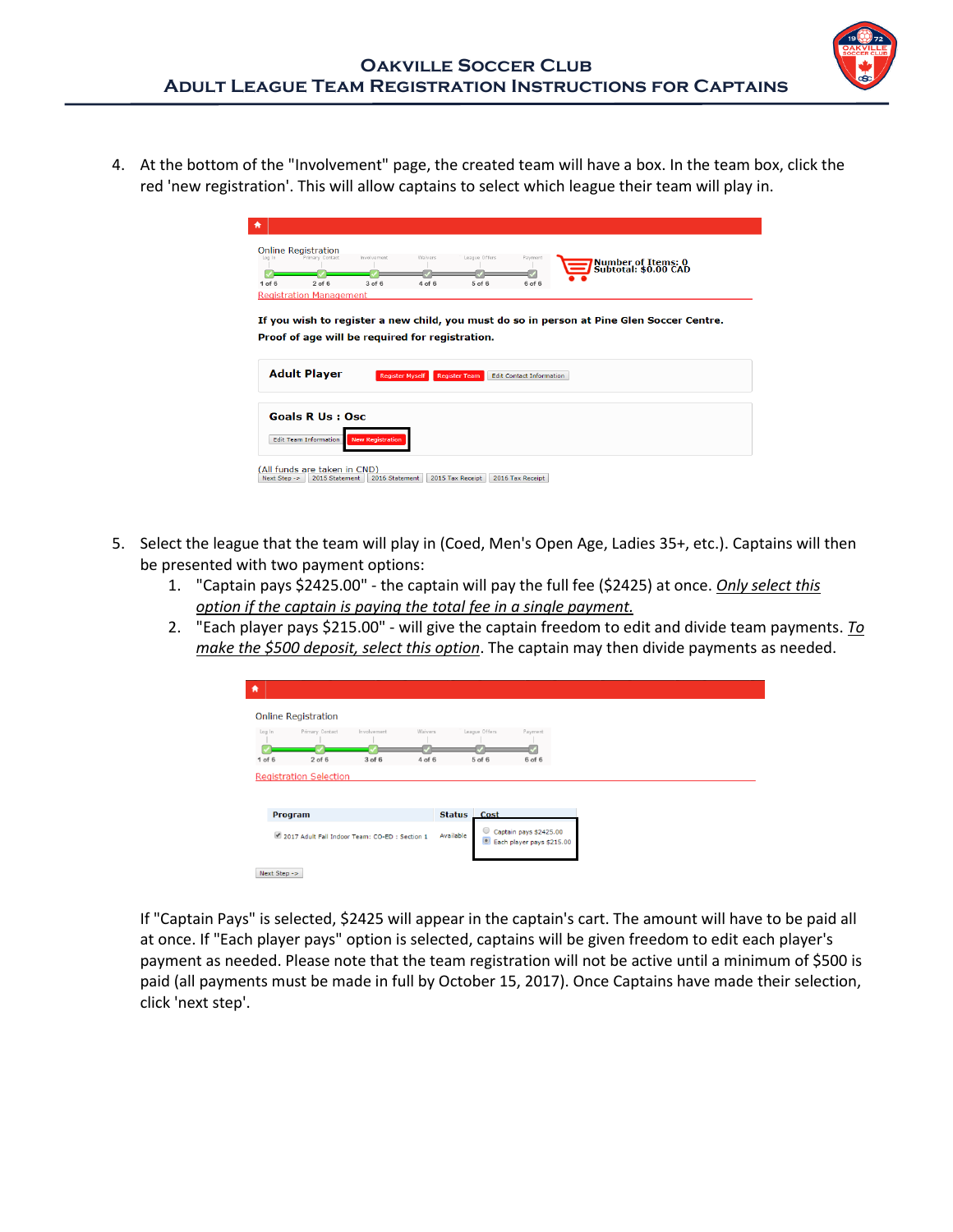

4. At the bottom of the "Involvement" page, the created team will have a box. In the team box, click the red 'new registration'. This will allow captains to select which league their team will play in.

| <b>Online Registration</b><br>Primary Contact<br>Log In                   | Involvement            | Waivers    | League Offers        | Payment                         |                                                   |
|---------------------------------------------------------------------------|------------------------|------------|----------------------|---------------------------------|---------------------------------------------------|
|                                                                           |                        |            |                      |                                 | <b>Number of Items: 0</b><br>Subtotal: \$0.00 CAD |
| $2$ of $6$<br>$1$ of $6$                                                  | $3$ of $6$             | $4$ of $6$ | $5$ of $6$           | 6 of 6                          |                                                   |
| <b>Registration Management</b>                                            |                        |            |                      |                                 |                                                   |
|                                                                           |                        |            |                      |                                 |                                                   |
| <b>Adult Player</b>                                                       | <b>Register Myself</b> |            | <b>Register Team</b> | <b>Edit Contact Information</b> |                                                   |
|                                                                           |                        |            |                      |                                 |                                                   |
| Proof of age will be required for registration.<br><b>Goals R Us: Osc</b> |                        |            |                      |                                 |                                                   |

- 5. Select the league that the team will play in (Coed, Men's Open Age, Ladies 35+, etc.). Captains will then be presented with two payment options:
	- 1. "Captain pays \$2425.00" the captain will pay the full fee (\$2425) at once. *Only select this option if the captain is paying the total fee in a single payment.*
	- 2. "Each player pays \$215.00" will give the captain freedom to edit and divide team payments. *To make the \$500 deposit, select this option*. The captain may then divide payments as needed.

| $\bullet$            |                                               |                       |                   |                         |                                                     |
|----------------------|-----------------------------------------------|-----------------------|-------------------|-------------------------|-----------------------------------------------------|
|                      | <b>Online Registration</b>                    |                       |                   |                         |                                                     |
| Log In<br>$1$ of $6$ | Primary Contact<br>$2$ of $6$                 | Involvement<br>3 of 6 | Waivers<br>4 of 6 | League Offers<br>5 of 6 | Payment<br>6 of 6                                   |
|                      | <b>Registration Selection</b>                 |                       |                   |                         |                                                     |
| <b>Program</b>       |                                               |                       |                   | <b>Status</b><br>Cost   |                                                     |
|                      | 2017 Adult Fall Indoor Team: CO-ED: Section 1 |                       |                   | Available               | Captain pays \$2425.00<br>Each player pays \$215.00 |
| Next Step ->         |                                               |                       |                   |                         |                                                     |

If "Captain Pays" is selected, \$2425 will appear in the captain's cart. The amount will have to be paid all at once. If "Each player pays" option is selected, captains will be given freedom to edit each player's payment as needed. Please note that the team registration will not be active until a minimum of \$500 is paid (all payments must be made in full by October 15, 2017). Once Captains have made their selection, click 'next step'.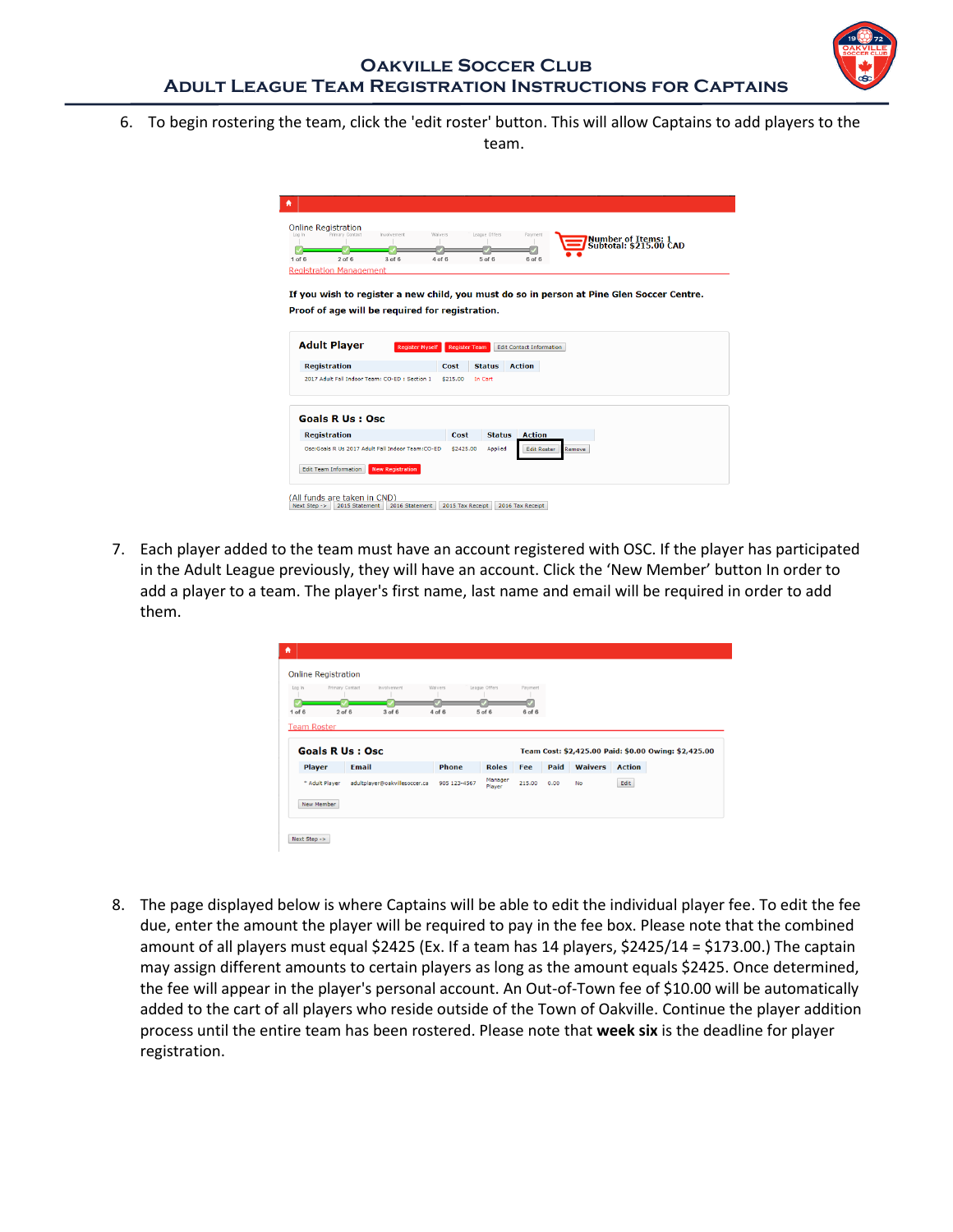6. To begin rostering the team, click the 'edit roster' button. This will allow Captains to add players to the

team.

| $1$ of $6$          |                                |                                                  |                                                 | League Offers        | Payment                         | <b>Number of Items: 1</b>                                                                 |  |
|---------------------|--------------------------------|--------------------------------------------------|-------------------------------------------------|----------------------|---------------------------------|-------------------------------------------------------------------------------------------|--|
|                     |                                |                                                  |                                                 |                      |                                 | <b>Subtotal: \$215.00 CAD</b>                                                             |  |
|                     | $2$ of $6$                     | $3$ of $6$                                       | 4 of 6                                          | $5$ of $6$           | 6 of 6                          |                                                                                           |  |
|                     | <b>Registration Management</b> |                                                  |                                                 |                      |                                 |                                                                                           |  |
|                     |                                |                                                  |                                                 |                      |                                 |                                                                                           |  |
|                     |                                |                                                  |                                                 |                      |                                 | If you wish to register a new child, you must do so in person at Pine Glen Soccer Centre. |  |
|                     |                                |                                                  |                                                 |                      |                                 |                                                                                           |  |
|                     |                                |                                                  | Proof of age will be required for registration. |                      |                                 |                                                                                           |  |
|                     |                                |                                                  |                                                 |                      |                                 |                                                                                           |  |
|                     |                                |                                                  |                                                 |                      |                                 |                                                                                           |  |
| <b>Adult Player</b> |                                |                                                  | <b>Register Myself</b>                          | <b>Register Team</b> | <b>Edit Contact Information</b> |                                                                                           |  |
|                     |                                |                                                  |                                                 |                      |                                 |                                                                                           |  |
|                     |                                |                                                  |                                                 |                      |                                 |                                                                                           |  |
|                     |                                |                                                  | Cost                                            | <b>Status</b>        | <b>Action</b>                   |                                                                                           |  |
|                     |                                | 2017 Adult Fall Indoor Team: CO-ED: Section 1    | \$215.00                                        | In Cart              |                                 |                                                                                           |  |
| <b>Registration</b> |                                |                                                  |                                                 |                      |                                 |                                                                                           |  |
|                     |                                |                                                  |                                                 |                      |                                 |                                                                                           |  |
|                     |                                |                                                  |                                                 |                      |                                 |                                                                                           |  |
|                     | <b>Goals R Us : Osc</b>        |                                                  |                                                 |                      |                                 |                                                                                           |  |
|                     |                                |                                                  | Cost                                            | <b>Status</b>        | <b>Action</b>                   |                                                                                           |  |
|                     |                                | Osc:Goals R Us 2017 Adult Fall Indoor Team:CO-ED |                                                 | \$2425.00<br>Applied |                                 |                                                                                           |  |
| <b>Registration</b> |                                |                                                  |                                                 |                      | <b>Edit Roster</b>              | Remove                                                                                    |  |

7. Each player added to the team must have an account registered with OSC. If the player has participated in the Adult League previously, they will have an account. Click the 'New Member' button In order to add a player to a team. The player's first name, last name and email will be required in order to add them.

|                    | <b>Online Registration</b> |                               |              |                   |         |      |                |               |                                                      |
|--------------------|----------------------------|-------------------------------|--------------|-------------------|---------|------|----------------|---------------|------------------------------------------------------|
| Log In             | Primary Contact            | Involvement                   | Waivers      | League Offers     | Payment |      |                |               |                                                      |
| $1$ of $6$         | $2$ of $6$                 | $3$ of $6$                    | 4 of 6       | 5 of 6            | 6 of 6  |      |                |               |                                                      |
| <b>Team Roster</b> | <b>Goals R Us : Osc</b>    |                               |              |                   |         |      |                |               |                                                      |
| <b>Player</b>      | <b>Email</b>               |                               | <b>Phone</b> | <b>Roles</b>      | Fee     | Paid | <b>Waivers</b> | <b>Action</b> | Team Cost: \$2,425.00 Paid: \$0.00 Owing: \$2,425.00 |
|                    | * Adult Player             | adultplayer@oakvillesoccer.ca | 905 123-4567 | Manager<br>Player | 215.00  | 0.00 | No             | Edit          |                                                      |

8. The page displayed below is where Captains will be able to edit the individual player fee. To edit the fee due, enter the amount the player will be required to pay in the fee box. Please note that the combined amount of all players must equal \$2425 (Ex. If a team has 14 players, \$2425/14 = \$173.00.) The captain may assign different amounts to certain players as long as the amount equals \$2425. Once determined, the fee will appear in the player's personal account. An Out-of-Town fee of \$10.00 will be automatically added to the cart of all players who reside outside of the Town of Oakville. Continue the player addition process until the entire team has been rostered. Please note that **week six** is the deadline for player registration.